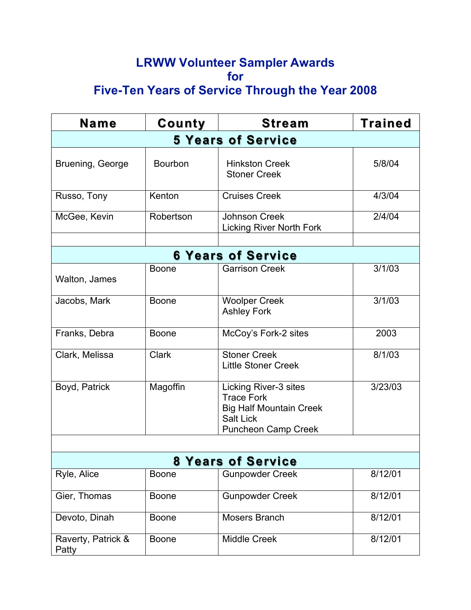## **LRWW Volunteer Sampler Awards for Five-Ten Years of Service Through the Year 2008**

| <b>Name</b>                 | County       | <b>Stream</b>                                                                                                                  | Trained |  |  |
|-----------------------------|--------------|--------------------------------------------------------------------------------------------------------------------------------|---------|--|--|
| <b>5 Years of Service</b>   |              |                                                                                                                                |         |  |  |
| Bruening, George            | Bourbon      | <b>Hinkston Creek</b><br><b>Stoner Creek</b>                                                                                   | 5/8/04  |  |  |
| Russo, Tony                 | Kenton       | <b>Cruises Creek</b>                                                                                                           | 4/3/04  |  |  |
| McGee, Kevin                | Robertson    | <b>Johnson Creek</b><br><b>Licking River North Fork</b>                                                                        | 2/4/04  |  |  |
|                             |              |                                                                                                                                |         |  |  |
| <b>6 Years of Service</b>   |              |                                                                                                                                |         |  |  |
| Walton, James               | <b>Boone</b> | <b>Garrison Creek</b>                                                                                                          | 3/1/03  |  |  |
| Jacobs, Mark                | <b>Boone</b> | <b>Woolper Creek</b><br><b>Ashley Fork</b>                                                                                     | 3/1/03  |  |  |
| Franks, Debra               | <b>Boone</b> | McCoy's Fork-2 sites                                                                                                           | 2003    |  |  |
| Clark, Melissa              | <b>Clark</b> | <b>Stoner Creek</b><br><b>Little Stoner Creek</b>                                                                              | 8/1/03  |  |  |
| Boyd, Patrick               | Magoffin     | Licking River-3 sites<br><b>Trace Fork</b><br><b>Big Half Mountain Creek</b><br><b>Salt Lick</b><br><b>Puncheon Camp Creek</b> | 3/23/03 |  |  |
|                             |              |                                                                                                                                |         |  |  |
| <b>8 Years of Service</b>   |              |                                                                                                                                |         |  |  |
| Ryle, Alice                 | <b>Boone</b> | <b>Gunpowder Creek</b>                                                                                                         | 8/12/01 |  |  |
| Gier, Thomas                | <b>Boone</b> | <b>Gunpowder Creek</b>                                                                                                         | 8/12/01 |  |  |
| Devoto, Dinah               | <b>Boone</b> | <b>Mosers Branch</b>                                                                                                           | 8/12/01 |  |  |
| Raverty, Patrick &<br>Patty | <b>Boone</b> | <b>Middle Creek</b>                                                                                                            | 8/12/01 |  |  |